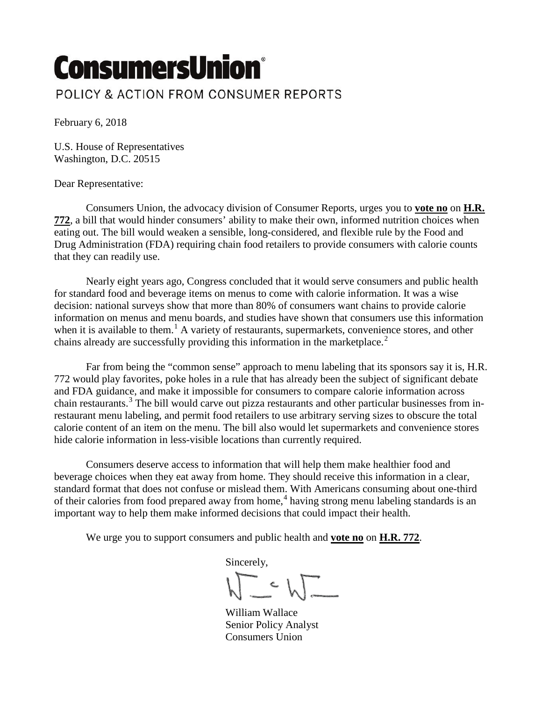## **ConsumersUnion®** POLICY & ACTION FROM CONSUMER REPORTS

February 6, 2018

U.S. House of Representatives Washington, D.C. 20515

## Dear Representative:

Consumers Union, the advocacy division of Consumer Reports, urges you to **vote no** on **H.R. 772**, a bill that would hinder consumers' ability to make their own, informed nutrition choices when eating out. The bill would weaken a sensible, long-considered, and flexible rule by the Food and Drug Administration (FDA) requiring chain food retailers to provide consumers with calorie counts that they can readily use.

Nearly eight years ago, Congress concluded that it would serve consumers and public health for standard food and beverage items on menus to come with calorie information. It was a wise decision: national surveys show that more than 80% of consumers want chains to provide calorie information on menus and menu boards, and studies have shown that consumers use this information when it is available to them.<sup>1</sup> A variety of restaurants, supermarkets, convenience stores, and other chains already are successfully providing this information in the marketplace.<sup>2</sup>

 Far from being the "common sense" approach to menu labeling that its sponsors say it is, H.R. 772 would play favorites, poke holes in a rule that has already been the subject of significant debate and FDA guidance, and make it impossible for consumers to compare calorie information across chain restaurants.<sup>3</sup> The bill would carve out pizza restaurants and other particular businesses from inrestaurant menu labeling, and permit food retailers to use arbitrary serving sizes to obscure the total calorie content of an item on the menu. The bill also would let supermarkets and convenience stores hide calorie information in less-visible locations than currently required.

Consumers deserve access to information that will help them make healthier food and beverage choices when they eat away from home. They should receive this information in a clear, standard format that does not confuse or mislead them. With Americans consuming about one-third of their calories from food prepared away from home,<sup>4</sup> having strong menu labeling standards is an important way to help them make informed decisions that could impact their health.

We urge you to support consumers and public health and **vote no** on **H.R. 772**.

Sincerely,

 $\bigvee_{\text{William Wallace}}$ 

Senior Policy Analyst Consumers Union